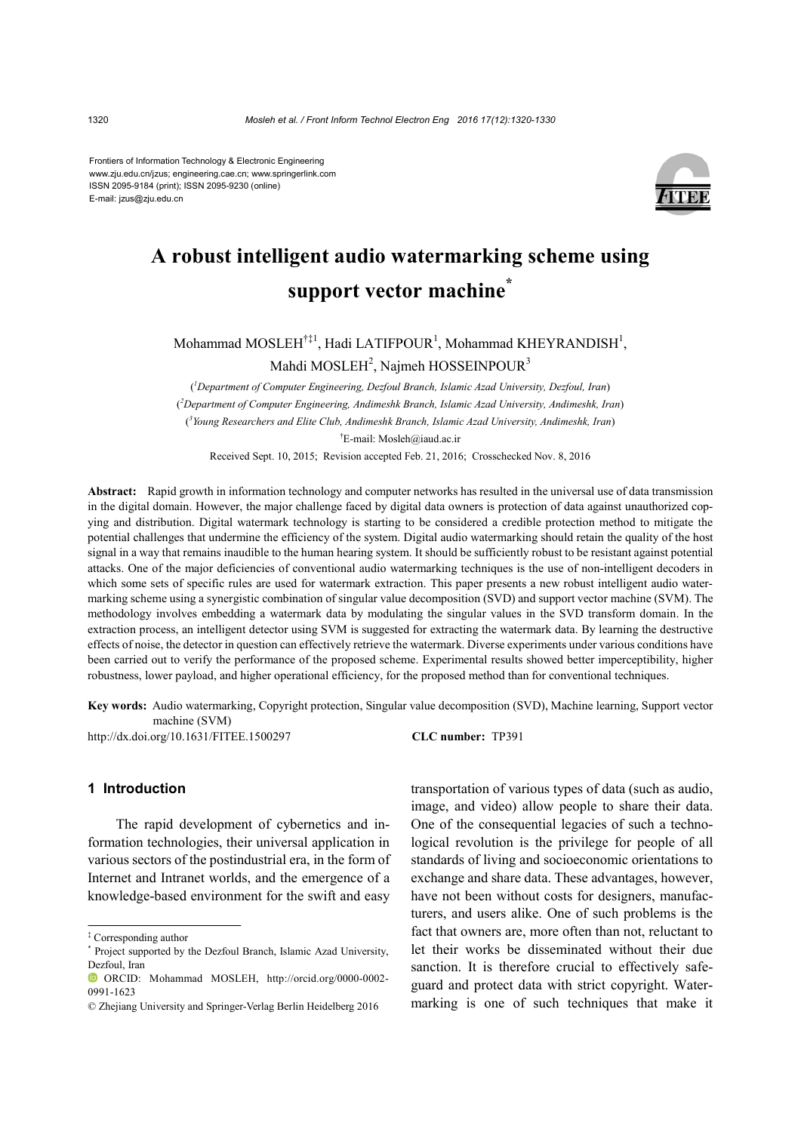Frontiers of Information Technology & Electronic Engineering www.zju.edu.cn/jzus; engineering.cae.cn; www.springerlink.com ISSN 2095-9184 (print); ISSN 2095-9230 (online) E-mail: jzus@zju.edu.cn



# **A robust intelligent audio watermarking scheme using support vector machine\***

Mohammad MOSLEH<sup>†‡1</sup>, Hadi LATIFPOUR<sup>1</sup>, Mohammad KHEYRANDISH<sup>1</sup>,

Mahdi MOSLEH<sup>2</sup>, Najmeh HOSSEINPOUR<sup>3</sup>

( *1 Department of Computer Engineering, Dezfoul Branch, Islamic Azad University, Dezfoul, Iran*) ( *2 Department of Computer Engineering, Andimeshk Branch, Islamic Azad University, Andimeshk, Iran*) ( *3 Young Researchers and Elite Club, Andimeshk Branch, Islamic Azad University, Andimeshk, Iran*) † E-mail: Mosleh@iaud.ac.ir

Received Sept. 10, 2015; Revision accepted Feb. 21, 2016; Crosschecked Nov. 8, 2016

**Abstract:** Rapid growth in information technology and computer networks has resulted in the universal use of data transmission in the digital domain. However, the major challenge faced by digital data owners is protection of data against unauthorized copying and distribution. Digital watermark technology is starting to be considered a credible protection method to mitigate the potential challenges that undermine the efficiency of the system. Digital audio watermarking should retain the quality of the host signal in a way that remains inaudible to the human hearing system. It should be sufficiently robust to be resistant against potential attacks. One of the major deficiencies of conventional audio watermarking techniques is the use of non-intelligent decoders in which some sets of specific rules are used for watermark extraction. This paper presents a new robust intelligent audio watermarking scheme using a synergistic combination of singular value decomposition (SVD) and support vector machine (SVM). The methodology involves embedding a watermark data by modulating the singular values in the SVD transform domain. In the extraction process, an intelligent detector using SVM is suggested for extracting the watermark data. By learning the destructive effects of noise, the detector in question can effectively retrieve the watermark. Diverse experiments under various conditions have been carried out to verify the performance of the proposed scheme. Experimental results showed better imperceptibility, higher robustness, lower payload, and higher operational efficiency, for the proposed method than for conventional techniques.

**Key words:** Audio watermarking, Copyright protection, Singular value decomposition (SVD), Machine learning, Support vector machine (SVM)

http://dx.doi.org/10.1631/FITEE.1500297 **CLC number:** TP391

# **1 Introduction**

The rapid development of cybernetics and information technologies, their universal application in various sectors of the postindustrial era, in the form of Internet and Intranet worlds, and the emergence of a knowledge-based environment for the swift and easy

‡ Corresponding author

transportation of various types of data (such as audio, image, and video) allow people to share their data. One of the consequential legacies of such a technological revolution is the privilege for people of all standards of living and socioeconomic orientations to exchange and share data. These advantages, however, have not been without costs for designers, manufacturers, and users alike. One of such problems is the fact that owners are, more often than not, reluctant to let their works be disseminated without their due sanction. It is therefore crucial to effectively safeguard and protect data with strict copyright. Watermarking is one of such techniques that make it

<sup>\*</sup> Project supported by the Dezfoul Branch, Islamic Azad University, Dezfoul, Iran

ORCID: Mohammad MOSLEH, http://orcid.org/0000-0002- 0991-1623

<sup>©</sup> Zhejiang University and Springer-Verlag Berlin Heidelberg 2016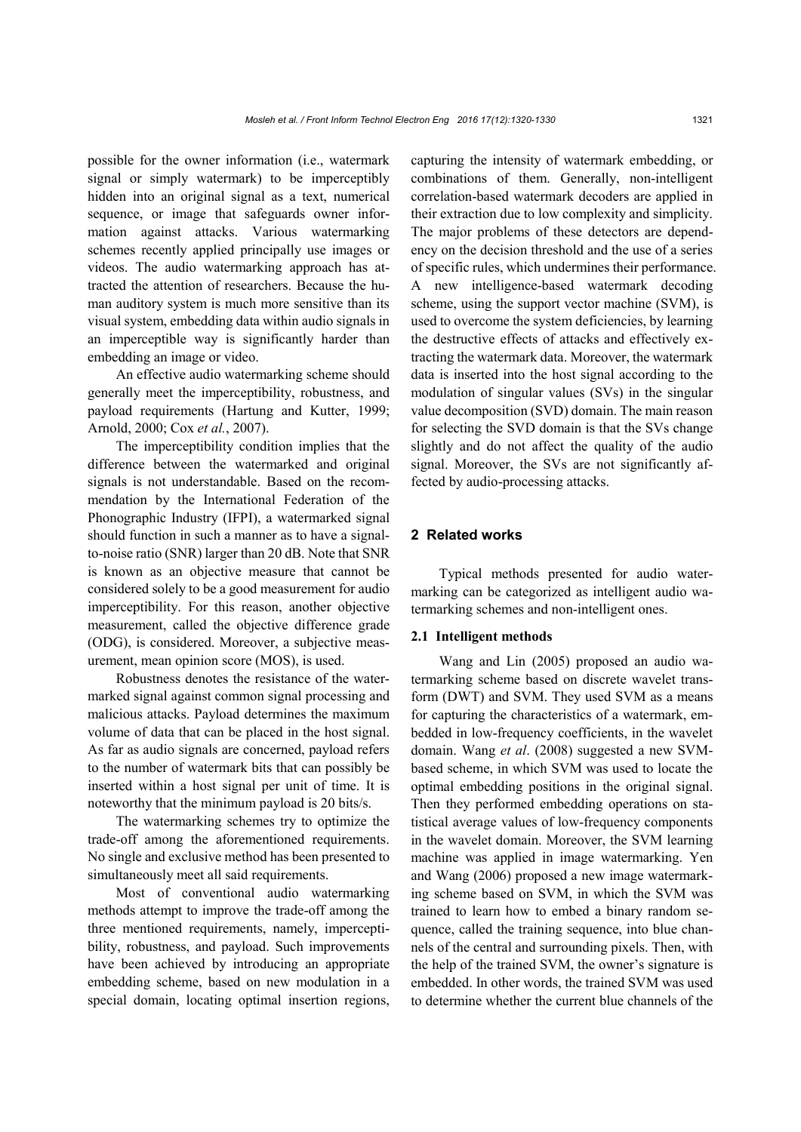possible for the owner information (i.e., watermark signal or simply watermark) to be imperceptibly hidden into an original signal as a text, numerical sequence, or image that safeguards owner information against attacks. Various watermarking schemes recently applied principally use images or videos. The audio watermarking approach has attracted the attention of researchers. Because the human auditory system is much more sensitive than its visual system, embedding data within audio signals in an imperceptible way is significantly harder than embedding an image or video.

An effective audio watermarking scheme should generally meet the imperceptibility, robustness, and payload requirements (Hartung and Kutter, 1999; Arnold, 2000; Cox *et al.*, 2007).

The imperceptibility condition implies that the difference between the watermarked and original signals is not understandable. Based on the recommendation by the International Federation of the Phonographic Industry (IFPI), a watermarked signal should function in such a manner as to have a signalto-noise ratio (SNR) larger than 20 dB. Note that SNR is known as an objective measure that cannot be considered solely to be a good measurement for audio imperceptibility. For this reason, another objective measurement, called the objective difference grade (ODG), is considered. Moreover, a subjective measurement, mean opinion score (MOS), is used.

Robustness denotes the resistance of the watermarked signal against common signal processing and malicious attacks. Payload determines the maximum volume of data that can be placed in the host signal. As far as audio signals are concerned, payload refers to the number of watermark bits that can possibly be inserted within a host signal per unit of time. It is noteworthy that the minimum payload is 20 bits/s.

The watermarking schemes try to optimize the trade-off among the aforementioned requirements. No single and exclusive method has been presented to simultaneously meet all said requirements.

Most of conventional audio watermarking methods attempt to improve the trade-off among the three mentioned requirements, namely, imperceptibility, robustness, and payload. Such improvements have been achieved by introducing an appropriate embedding scheme, based on new modulation in a special domain, locating optimal insertion regions, capturing the intensity of watermark embedding, or combinations of them. Generally, non-intelligent correlation-based watermark decoders are applied in their extraction due to low complexity and simplicity. The major problems of these detectors are dependency on the decision threshold and the use of a series of specific rules, which undermines their performance. A new intelligence-based watermark decoding scheme, using the support vector machine (SVM), is used to overcome the system deficiencies, by learning the destructive effects of attacks and effectively extracting the watermark data. Moreover, the watermark data is inserted into the host signal according to the modulation of singular values (SVs) in the singular value decomposition (SVD) domain. The main reason for selecting the SVD domain is that the SVs change slightly and do not affect the quality of the audio signal. Moreover, the SVs are not significantly affected by audio-processing attacks.

# **2 Related works**

Typical methods presented for audio watermarking can be categorized as intelligent audio watermarking schemes and non-intelligent ones.

## **2.1 Intelligent methods**

Wang and Lin (2005) proposed an audio watermarking scheme based on discrete wavelet transform (DWT) and SVM. They used SVM as a means for capturing the characteristics of a watermark, embedded in low-frequency coefficients, in the wavelet domain. Wang *et al*. (2008) suggested a new SVMbased scheme, in which SVM was used to locate the optimal embedding positions in the original signal. Then they performed embedding operations on statistical average values of low-frequency components in the wavelet domain. Moreover, the SVM learning machine was applied in image watermarking. Yen and Wang (2006) proposed a new image watermarking scheme based on SVM, in which the SVM was trained to learn how to embed a binary random sequence, called the training sequence, into blue channels of the central and surrounding pixels. Then, with the help of the trained SVM, the owner's signature is embedded. In other words, the trained SVM was used to determine whether the current blue channels of the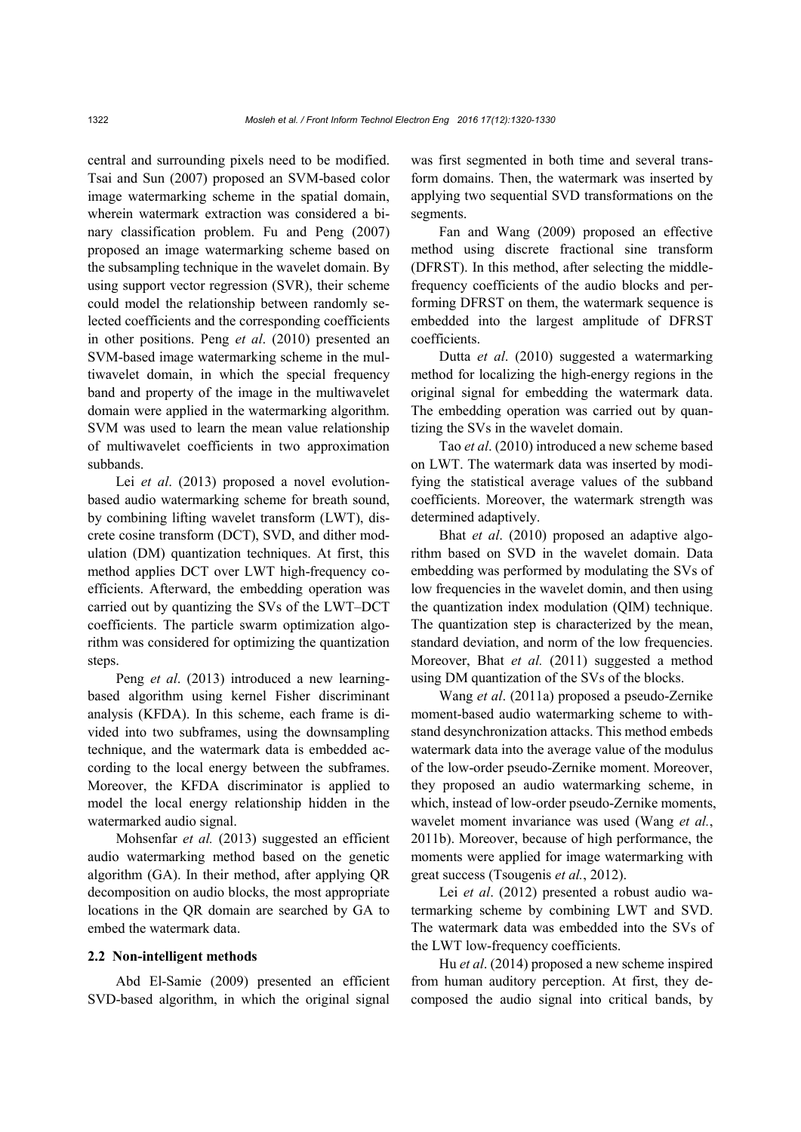central and surrounding pixels need to be modified. Tsai and Sun (2007) proposed an SVM-based color image watermarking scheme in the spatial domain, wherein watermark extraction was considered a binary classification problem. Fu and Peng (2007) proposed an image watermarking scheme based on the subsampling technique in the wavelet domain. By using support vector regression (SVR), their scheme could model the relationship between randomly selected coefficients and the corresponding coefficients in other positions. Peng *et al*. (2010) presented an SVM-based image watermarking scheme in the multiwavelet domain, in which the special frequency band and property of the image in the multiwavelet domain were applied in the watermarking algorithm. SVM was used to learn the mean value relationship of multiwavelet coefficients in two approximation subbands.

Lei *et al*. (2013) proposed a novel evolutionbased audio watermarking scheme for breath sound, by combining lifting wavelet transform (LWT), discrete cosine transform (DCT), SVD, and dither modulation (DM) quantization techniques. At first, this method applies DCT over LWT high-frequency coefficients. Afterward, the embedding operation was carried out by quantizing the SVs of the LWT–DCT coefficients. The particle swarm optimization algorithm was considered for optimizing the quantization steps.

Peng *et al*. (2013) introduced a new learningbased algorithm using kernel Fisher discriminant analysis (KFDA). In this scheme, each frame is divided into two subframes, using the downsampling technique, and the watermark data is embedded according to the local energy between the subframes. Moreover, the KFDA discriminator is applied to model the local energy relationship hidden in the watermarked audio signal.

Mohsenfar *et al.* (2013) suggested an efficient audio watermarking method based on the genetic algorithm (GA). In their method, after applying QR decomposition on audio blocks, the most appropriate locations in the QR domain are searched by GA to embed the watermark data.

## **2.2 Non-intelligent methods**

Abd El-Samie (2009) presented an efficient SVD-based algorithm, in which the original signal

was first segmented in both time and several transform domains. Then, the watermark was inserted by applying two sequential SVD transformations on the segments.

Fan and Wang (2009) proposed an effective method using discrete fractional sine transform (DFRST). In this method, after selecting the middlefrequency coefficients of the audio blocks and performing DFRST on them, the watermark sequence is embedded into the largest amplitude of DFRST coefficients.

Dutta *et al*. (2010) suggested a watermarking method for localizing the high-energy regions in the original signal for embedding the watermark data. The embedding operation was carried out by quantizing the SVs in the wavelet domain.

Tao *et al*. (2010) introduced a new scheme based on LWT. The watermark data was inserted by modifying the statistical average values of the subband coefficients. Moreover, the watermark strength was determined adaptively.

Bhat *et al*. (2010) proposed an adaptive algorithm based on SVD in the wavelet domain. Data embedding was performed by modulating the SVs of low frequencies in the wavelet domin, and then using the quantization index modulation (QIM) technique. The quantization step is characterized by the mean, standard deviation, and norm of the low frequencies. Moreover, Bhat *et al.* (2011) suggested a method using DM quantization of the SVs of the blocks.

Wang *et al*. (2011a) proposed a pseudo-Zernike moment-based audio watermarking scheme to withstand desynchronization attacks. This method embeds watermark data into the average value of the modulus of the low-order pseudo-Zernike moment. Moreover, they proposed an audio watermarking scheme, in which, instead of low-order pseudo-Zernike moments, wavelet moment invariance was used (Wang *et al.*, 2011b). Moreover, because of high performance, the moments were applied for image watermarking with great success (Tsougenis *et al.*, 2012).

Lei *et al*. (2012) presented a robust audio watermarking scheme by combining LWT and SVD. The watermark data was embedded into the SVs of the LWT low-frequency coefficients.

Hu *et al*. (2014) proposed a new scheme inspired from human auditory perception. At first, they decomposed the audio signal into critical bands, by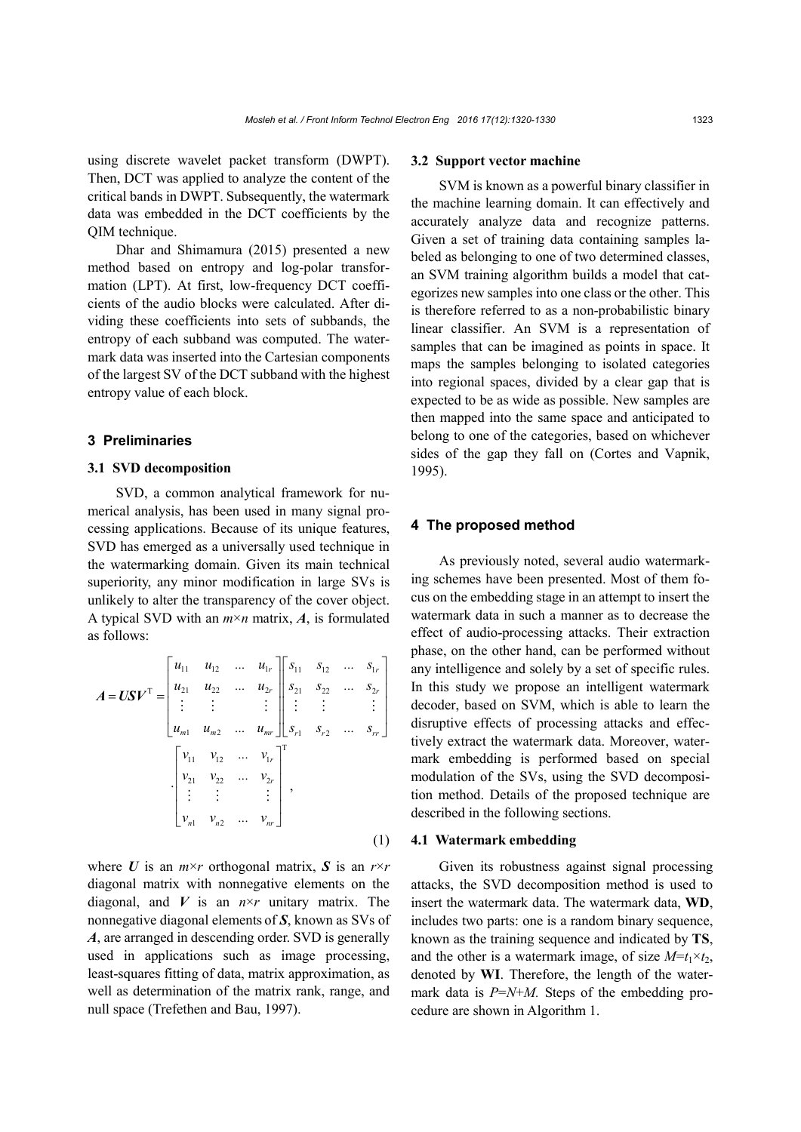using discrete wavelet packet transform (DWPT). Then, DCT was applied to analyze the content of the critical bands in DWPT. Subsequently, the watermark data was embedded in the DCT coefficients by the QIM technique.

Dhar and Shimamura (2015) presented a new method based on entropy and log-polar transformation (LPT). At first, low-frequency DCT coefficients of the audio blocks were calculated. After dividing these coefficients into sets of subbands, the entropy of each subband was computed. The watermark data was inserted into the Cartesian components of the largest SV of the DCT subband with the highest entropy value of each block.

## **3 Preliminaries**

# **3.1 SVD decomposition**

SVD, a common analytical framework for numerical analysis, has been used in many signal processing applications. Because of its unique features, SVD has emerged as a universally used technique in the watermarking domain. Given its main technical superiority, any minor modification in large SVs is unlikely to alter the transparency of the cover object. A typical SVD with an *m*×*n* matrix, *A*, is formulated as follows:

$$
A = USV^{T} = \begin{bmatrix} u_{11} & u_{12} & \dots & u_{1r} \\ u_{21} & u_{22} & \dots & u_{2r} \\ \vdots & \vdots & & \vdots \\ u_{m1} & u_{m2} & \dots & u_{mr} \end{bmatrix} \begin{bmatrix} s_{11} & s_{12} & \dots & s_{1r} \\ s_{21} & s_{22} & \dots & s_{2r} \\ \vdots & \vdots & & \vdots \\ s_{r1} & s_{r2} & \dots & s_{rr} \end{bmatrix}
$$

$$
\cdot \begin{bmatrix} v_{11} & v_{12} & \dots & v_{1r} \\ v_{21} & v_{22} & \dots & v_{2r} \\ \vdots & \vdots & & \vdots \\ v_{n1} & v_{n2} & \dots & v_{nr} \end{bmatrix}^{T},
$$
(1)

where *U* is an  $m \times r$  orthogonal matrix, *S* is an  $r \times r$ diagonal matrix with nonnegative elements on the diagonal, and  $V$  is an  $n \times r$  unitary matrix. The nonnegative diagonal elements of *S*, known as SVs of *A*, are arranged in descending order. SVD is generally used in applications such as image processing, least-squares fitting of data, matrix approximation, as well as determination of the matrix rank, range, and null space (Trefethen and Bau, 1997).

#### **3.2 Support vector machine**

SVM is known as a powerful binary classifier in the machine learning domain. It can effectively and accurately analyze data and recognize patterns. Given a set of training data containing samples labeled as belonging to one of two determined classes, an SVM training algorithm builds a model that categorizes new samples into one class or the other. This is therefore referred to as a non-probabilistic binary linear classifier. An SVM is a representation of samples that can be imagined as points in space. It maps the samples belonging to isolated categories into regional spaces, divided by a clear gap that is expected to be as wide as possible. New samples are then mapped into the same space and anticipated to belong to one of the categories, based on whichever sides of the gap they fall on (Cortes and Vapnik, 1995).

# **4 The proposed method**

As previously noted, several audio watermarking schemes have been presented. Most of them focus on the embedding stage in an attempt to insert the watermark data in such a manner as to decrease the effect of audio-processing attacks. Their extraction phase, on the other hand, can be performed without any intelligence and solely by a set of specific rules. In this study we propose an intelligent watermark decoder, based on SVM, which is able to learn the disruptive effects of processing attacks and effectively extract the watermark data. Moreover, watermark embedding is performed based on special modulation of the SVs, using the SVD decomposition method. Details of the proposed technique are described in the following sections.

## **4.1 Watermark embedding**

Given its robustness against signal processing attacks, the SVD decomposition method is used to insert the watermark data. The watermark data, **WD**, includes two parts: one is a random binary sequence, known as the training sequence and indicated by **TS**, and the other is a watermark image, of size  $M=t_1\times t_2$ , denoted by **WI**. Therefore, the length of the watermark data is *P*=*N*+*M.* Steps of the embedding procedure are shown in Algorithm 1.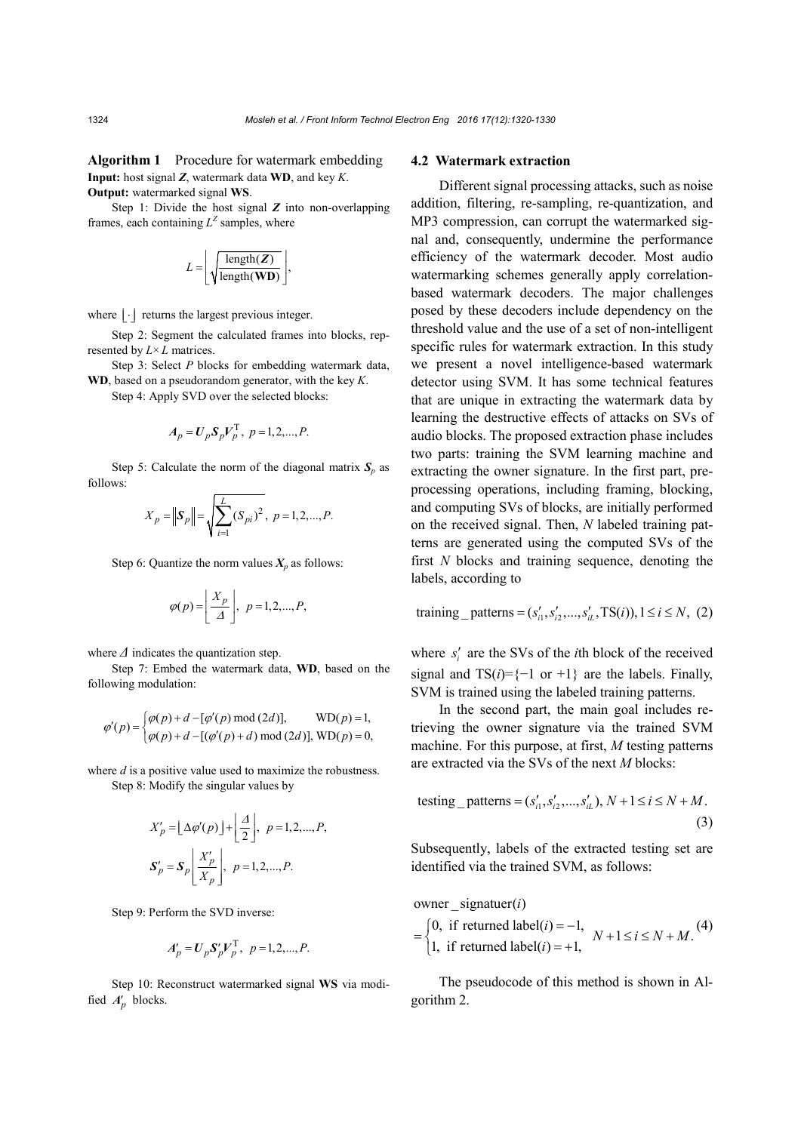**Algorithm 1** Procedure for watermark embedding **Input:** host signal *Z*, watermark data **WD**, and key *K*. **Output:** watermarked signal **WS**.

Step 1: Divide the host signal *Z* into non-overlapping frames, each containing  $L^Z$  samples, where

$$
L = \left\lfloor \sqrt{\frac{\text{length}(\mathbf{Z})}{\text{length}(\mathbf{W}\mathbf{D})}} \right\rfloor,
$$

where  $|\cdot|$  returns the largest previous integer.

Step 2: Segment the calculated frames into blocks, represented by *L*× *L* matrices.

Step 3: Select *P* blocks for embedding watermark data, **WD**, based on a pseudorandom generator, with the key *K*.

Step 4: Apply SVD over the selected blocks:

$$
A_p = U_p S_p V_p^T, \ p = 1, 2, ..., P.
$$

Step 5: Calculate the norm of the diagonal matrix  $S_p$  as follows:

$$
X_p = ||S_p|| = \sqrt{\sum_{i=1}^{L} (S_{pi})^2}, p = 1, 2, ..., P.
$$

Step 6: Quantize the norm values  $X_p$  as follows:

$$
\varphi(p) = \left\lfloor \frac{X_p}{\Delta} \right\rfloor, \ p = 1, 2, \dots, P,
$$

where *Δ* indicates the quantization step.

Step 7: Embed the watermark data, **WD**, based on the following modulation:

$$
\varphi'(p) = \begin{cases} \varphi(p) + d - [\varphi'(p) \mod (2d)], & \text{WD}(p) = 1, \\ \varphi(p) + d - [(\varphi'(p) + d) \mod (2d)], & \text{WD}(p) = 0, \end{cases}
$$

where *d* is a positive value used to maximize the robustness.

Step 8: Modify the singular values by

$$
X'_{p} = \lfloor \Delta \varphi'(p) \rfloor + \left\lfloor \frac{\Delta}{2} \right\rfloor, \ p = 1, 2, \dots, P,
$$

$$
S'_{p} = S_{p} \left\lfloor \frac{X'_{p}}{X_{p}} \right\rfloor, \ p = 1, 2, \dots, P.
$$

Step 9: Perform the SVD inverse:

$$
A'_{p} = U_{p} S'_{p} V_{p}^{\mathrm{T}}, \ \ p = 1, 2, ..., P.
$$

Step 10: Reconstruct watermarked signal **WS** via modified  $A'_n$  blocks.

#### **4.2 Watermark extraction**

Different signal processing attacks, such as noise addition, filtering, re-sampling, re-quantization, and MP3 compression, can corrupt the watermarked signal and, consequently, undermine the performance efficiency of the watermark decoder. Most audio watermarking schemes generally apply correlationbased watermark decoders. The major challenges posed by these decoders include dependency on the threshold value and the use of a set of non-intelligent specific rules for watermark extraction. In this study we present a novel intelligence-based watermark detector using SVM. It has some technical features that are unique in extracting the watermark data by learning the destructive effects of attacks on SVs of audio blocks. The proposed extraction phase includes two parts: training the SVM learning machine and extracting the owner signature. In the first part, preprocessing operations, including framing, blocking, and computing SVs of blocks, are initially performed on the received signal. Then, *N* labeled training patterns are generated using the computed SVs of the first *N* blocks and training sequence, denoting the labels, according to

training patterns =  $(s'_{i_1}, s'_{i_2},..., s'_{i_L}, \text{TS}(i))$ ,  $1 \le i \le N$ , (2)

where  $s_i'$  are the SVs of the *i*th block of the received signal and  $TS(i)={-1}$  or  $+1$ } are the labels. Finally, SVM is trained using the labeled training patterns.

In the second part, the main goal includes retrieving the owner signature via the trained SVM machine. For this purpose, at first, *M* testing patterns are extracted via the SVs of the next *M* blocks:

testing \_ patterns = 
$$
(s'_{i1}, s'_{i2},..., s'_{iL})
$$
,  $N+1 \le i \le N+M$ . (3)

Subsequently, labels of the extracted testing set are identified via the trained SVM, as follows:

 $i$  owner \_signatuer( $i$ )

$$
= \begin{cases} 0, & \text{if returned label}(i) = -1, \\ 1, & \text{if returned label}(i) = +1, \end{cases} \quad N + 1 \le i \le N + M. \tag{4}
$$

The pseudocode of this method is shown in Algorithm 2.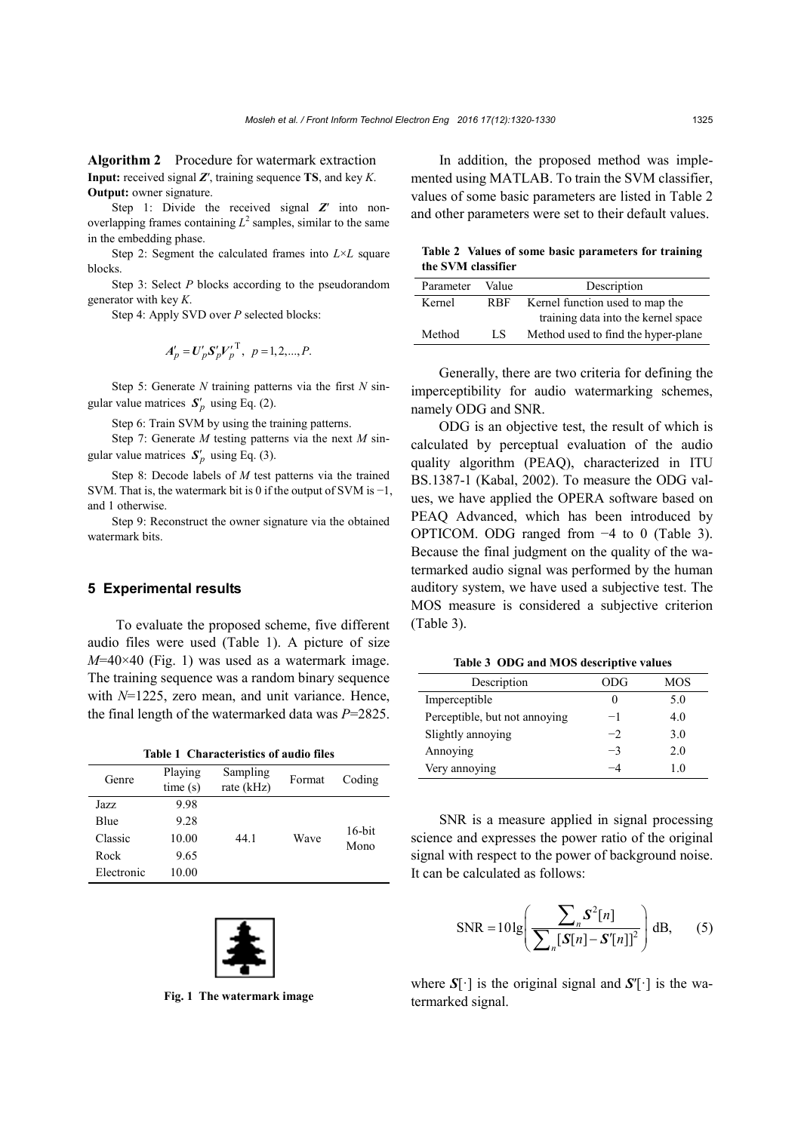**Algorithm 2** Procedure for watermark extraction **Input:** received signal *Z*′, training sequence **TS**, and key *K*. **Output:** owner signature.

Step 1: Divide the received signal **Z'** into nonoverlapping frames containing  $L^2$  samples, similar to the same in the embedding phase.

Step 2: Segment the calculated frames into *L*×*L* square blocks.

Step 3: Select *P* blocks according to the pseudorandom generator with key *K*.

Step 4: Apply SVD over *P* selected blocks:

$$
A'_{p} = U'_{p} S'_{p} V'_{p}^{T}, \ p = 1, 2, ..., P.
$$

Step 5: Generate *N* training patterns via the first *N* singular value matrices  $S'_p$  using Eq. (2).

Step 6: Train SVM by using the training patterns.

Step 7: Generate *M* testing patterns via the next *M* singular value matrices  $S'_p$  using Eq. (3).

Step 8: Decode labels of *M* test patterns via the trained SVM. That is, the watermark bit is 0 if the output of SVM is  $-1$ , and 1 otherwise.

Step 9: Reconstruct the owner signature via the obtained watermark bits.

# **5 Experimental results**

To evaluate the proposed scheme, five different audio files were used (Table 1). A picture of size *M*=40×40 (Fig. 1) was used as a watermark image. The training sequence was a random binary sequence with *N*=1225, zero mean, and unit variance. Hence, the final length of the watermarked data was *P*=2825.

| <b>Table 1 Characteristics of audio files</b> |         |            |        |                   |  |  |  |  |
|-----------------------------------------------|---------|------------|--------|-------------------|--|--|--|--|
| Genre                                         | Playing | Sampling   | Format | Coding            |  |  |  |  |
|                                               | time(s) | rate (kHz) |        |                   |  |  |  |  |
| Jazz                                          | 998     |            |        |                   |  |  |  |  |
| Blue                                          | 9.28    |            |        |                   |  |  |  |  |
| Classic                                       | 10.00   | 44 1       | Wave   | $16$ -bit<br>Mono |  |  |  |  |
| Rock                                          | 9.65    |            |        |                   |  |  |  |  |
| Electronic                                    | 10.00   |            |        |                   |  |  |  |  |



**Fig. 1 The watermark image**

In addition, the proposed method was implemented using MATLAB. To train the SVM classifier, values of some basic parameters are listed in Table 2 and other parameters were set to their default values.

**Table 2 Values of some basic parameters for training the SVM classifier**

| Value | Description                          |
|-------|--------------------------------------|
| R R F | Kernel function used to map the      |
|       | training data into the kernel space  |
| LS    | Method used to find the hyper-plane. |
|       |                                      |

Generally, there are two criteria for defining the imperceptibility for audio watermarking schemes, namely ODG and SNR.

ODG is an objective test, the result of which is calculated by perceptual evaluation of the audio quality algorithm (PEAQ), characterized in ITU BS.1387-1 (Kabal, 2002). To measure the ODG values, we have applied the OPERA software based on PEAQ Advanced, which has been introduced by OPTICOM. ODG ranged from −4 to 0 (Table 3). Because the final judgment on the quality of the watermarked audio signal was performed by the human auditory system, we have used a subjective test. The MOS measure is considered a subjective criterion (Table 3).

**Table 3 ODG and MOS descriptive values**

| Description                   | ODG  | MOS |
|-------------------------------|------|-----|
| Imperceptible                 | 0    | 5.0 |
| Perceptible, but not annoying | -1   | 4.0 |
| Slightly annoying             | -2   | 3.0 |
| Annoying                      | $-3$ | 2.0 |
| Very annoying                 |      | 10  |

SNR is a measure applied in signal processing science and expresses the power ratio of the original signal with respect to the power of background noise. It can be calculated as follows:

$$
SNR = 10 \lg \left( \frac{\sum_{n} S^2[n]}{\sum_{n} [S[n] - S'[n]]^2} \right) dB,
$$
 (5)

where  $S[\cdot]$  is the original signal and  $S'[\cdot]$  is the watermarked signal.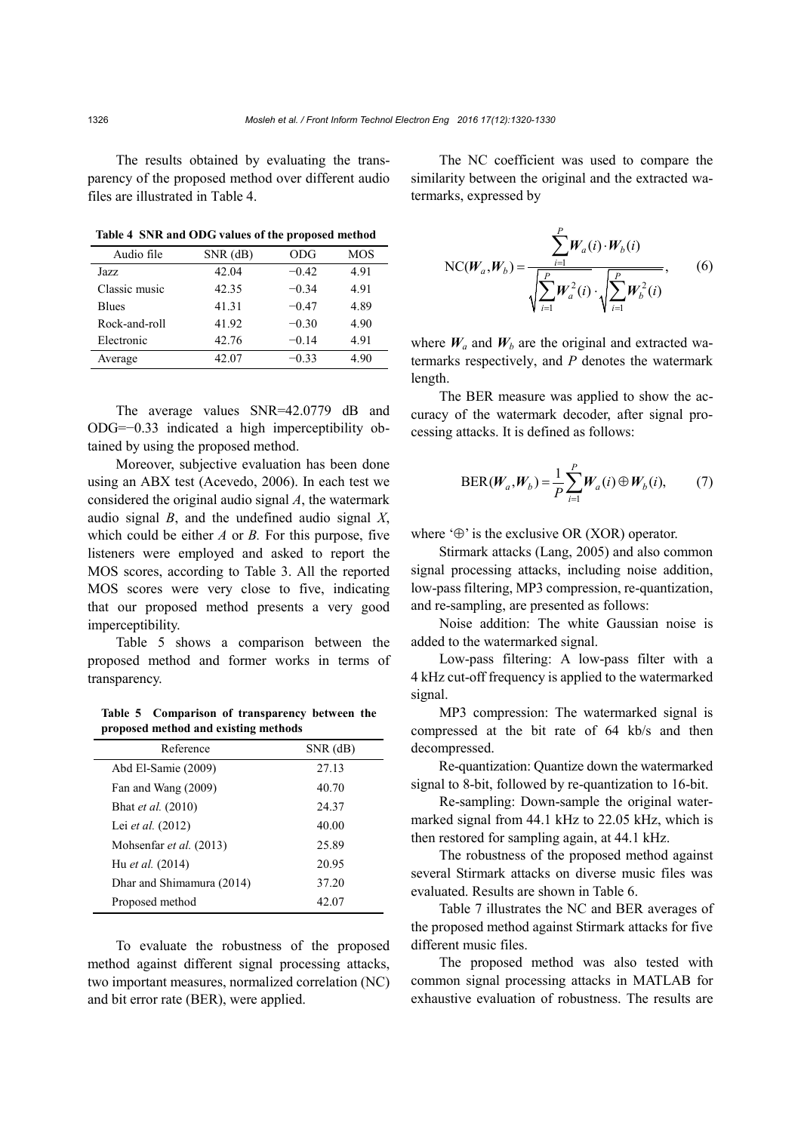The results obtained by evaluating the transparency of the proposed method over different audio files are illustrated in Table 4.

| Audio file    | $SNR$ (dB) | ODG     | <b>MOS</b> |
|---------------|------------|---------|------------|
| Jazz.         | 42.04      | $-0.42$ | 4.91       |
| Classic music | 42.35      | $-0.34$ | 491        |
| <b>Blues</b>  | 41.31      | $-0.47$ | 4.89       |
| Rock-and-roll | 41.92      | $-0.30$ | 4.90       |
| Electronic    | 42.76      | $-0.14$ | 4.91       |
| Average       | 42.07      | $-0.33$ | 4 9 0      |
|               |            |         |            |

**Table 4 SNR and ODG values of the proposed method**

The average values SNR=42.0779 dB and ODG=−0.33 indicated a high imperceptibility obtained by using the proposed method.

Moreover, subjective evaluation has been done using an ABX test (Acevedo, 2006). In each test we considered the original audio signal *A*, the watermark audio signal *B*, and the undefined audio signal *X*, which could be either *A* or *B*. For this purpose, five listeners were employed and asked to report the MOS scores, according to Table 3. All the reported MOS scores were very close to five, indicating that our proposed method presents a very good imperceptibility.

Table 5 shows a comparison between the proposed method and former works in terms of transparency.

**Table 5 Comparison of transparency between the proposed method and existing methods**

| Reference                 | $SNR$ (dB) |
|---------------------------|------------|
| Abd El-Samie (2009)       | 27.13      |
| Fan and Wang (2009)       | 40.70      |
| Bhat <i>et al.</i> (2010) | 24.37      |
| Lei <i>et al.</i> (2012)  | 40.00      |
| Mohsenfar et al. (2013)   | 25.89      |
| Hu <i>et al.</i> (2014)   | 20.95      |
| Dhar and Shimamura (2014) | 37.20      |
| Proposed method           | 42.07      |

To evaluate the robustness of the proposed method against different signal processing attacks, two important measures, normalized correlation (NC) and bit error rate (BER), were applied.

The NC coefficient was used to compare the similarity between the original and the extracted watermarks, expressed by

$$
NC(W_a, W_b) = \frac{\sum_{i=1}^{P} W_a(i) \cdot W_b(i)}{\sqrt{\sum_{i=1}^{P} W_a^2(i)} \cdot \sqrt{\sum_{i=1}^{P} W_b^2(i)}},
$$
 (6)

where  $W_a$  and  $W_b$  are the original and extracted watermarks respectively, and *P* denotes the watermark length.

The BER measure was applied to show the accuracy of the watermark decoder, after signal processing attacks. It is defined as follows:

$$
BER(W_a, W_b) = \frac{1}{P} \sum_{i=1}^{P} W_a(i) \oplus W_b(i), \qquad (7)
$$

where  $\Theta$  is the exclusive OR (XOR) operator.

Stirmark attacks (Lang, 2005) and also common signal processing attacks, including noise addition, low-pass filtering, MP3 compression, re-quantization, and re-sampling, are presented as follows:

Noise addition: The white Gaussian noise is added to the watermarked signal.

Low-pass filtering: A low-pass filter with a 4 kHz cut-off frequency is applied to the watermarked signal.

MP3 compression: The watermarked signal is compressed at the bit rate of 64 kb/s and then decompressed.

Re-quantization: Quantize down the watermarked signal to 8-bit, followed by re-quantization to 16-bit.

Re-sampling: Down-sample the original watermarked signal from 44.1 kHz to 22.05 kHz, which is then restored for sampling again, at 44.1 kHz.

The robustness of the proposed method against several Stirmark attacks on diverse music files was evaluated. Results are shown in Table 6.

Table 7 illustrates the NC and BER averages of the proposed method against Stirmark attacks for five different music files.

The proposed method was also tested with common signal processing attacks in MATLAB for exhaustive evaluation of robustness. The results are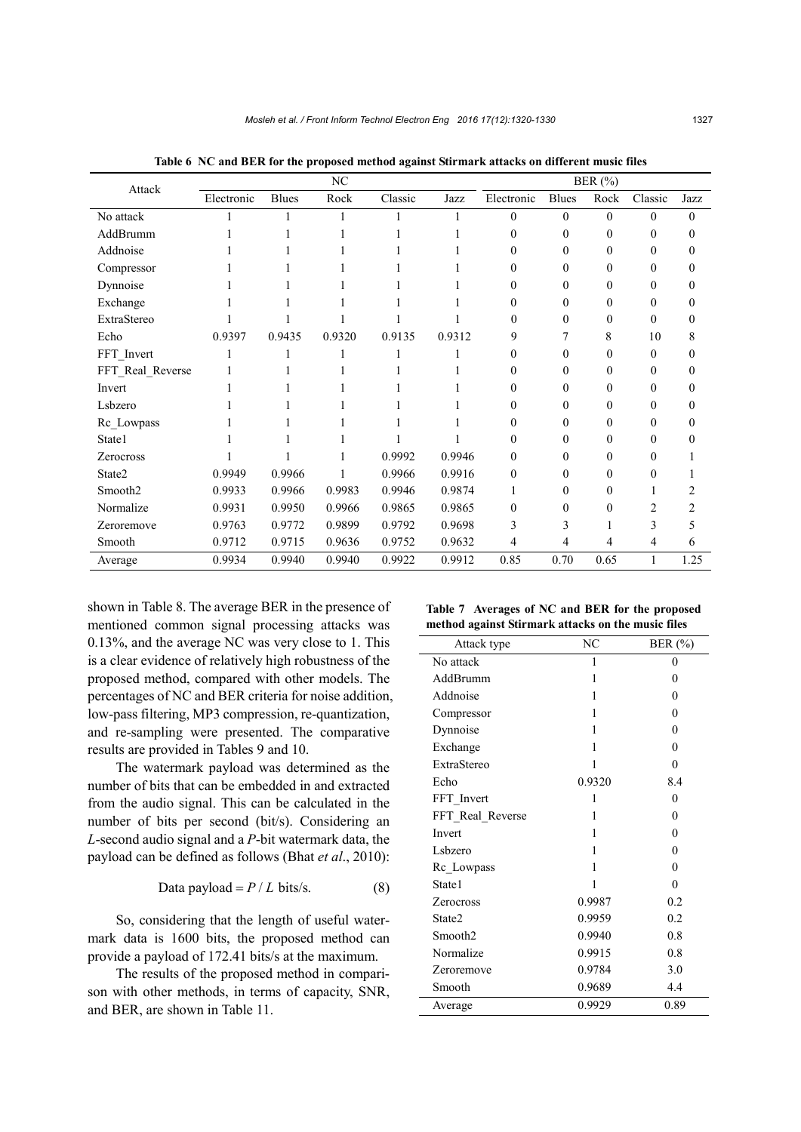|                  |            |              | $\rm NC$ |         |        |            |       | BER (%)          |          |      |
|------------------|------------|--------------|----------|---------|--------|------------|-------|------------------|----------|------|
| Attack           | Electronic | <b>Blues</b> | Rock     | Classic | Jazz   | Electronic | Blues | Rock             | Classic  | Jazz |
| No attack        |            |              |          |         |        | $\theta$   | 0     | $\boldsymbol{0}$ | $\theta$ | 0    |
| AddBrumm         |            |              |          |         |        | 0          | 0     | 0                | $\Omega$ | 0    |
| Addnoise         |            |              |          |         |        | 0          | 0     | 0                | $\theta$ | 0    |
| Compressor       |            |              |          |         |        |            | 0     | 0                | $\theta$ | 0    |
| Dynnoise         |            |              |          |         |        | 0          | 0     | 0                | $\theta$ | 0    |
| Exchange         |            |              |          |         |        |            | 0     | 0                | $\theta$ | 0    |
| ExtraStereo      |            |              |          |         |        | 0          | 0     | 0                | $\Omega$ | 0    |
| Echo             | 0.9397     | 0.9435       | 0.9320   | 0.9135  | 0.9312 | 9          |       | 8                | 10       | 8    |
| FFT Invert       |            |              |          |         |        | 0          | 0     | 0                | $\theta$ | 0    |
| FFT Real Reverse |            |              |          |         |        |            | 0     | 0                | $\theta$ | 0    |
| Invert           |            |              |          |         |        | 0          | 0     | 0                | $\theta$ | 0    |
| Lsbzero          |            |              |          |         |        |            | 0     | 0                | $\theta$ | 0    |
| Rc_Lowpass       |            |              |          |         |        | 0          | 0     | 0                | 0        | 0    |
| State1           |            |              |          |         |        | 0          | 0     | 0                | 0        |      |
| <b>Zerocross</b> |            |              |          | 0.9992  | 0.9946 | 0          | 0     | 0                | 0        |      |
| State2           | 0.9949     | 0.9966       |          | 0.9966  | 0.9916 | $\Omega$   | 0     | 0                | 0        |      |
| Smooth2          | 0.9933     | 0.9966       | 0.9983   | 0.9946  | 0.9874 |            | 0     | 0                |          |      |
| Normalize        | 0.9931     | 0.9950       | 0.9966   | 0.9865  | 0.9865 | 0          | 0     | 0                | 2        |      |
| Zeroremove       | 0.9763     | 0.9772       | 0.9899   | 0.9792  | 0.9698 | 3          | 3     |                  | 3        | 5    |
| Smooth           | 0.9712     | 0.9715       | 0.9636   | 0.9752  | 0.9632 | 4          | 4     | 4                | 4        | 6    |
| Average          | 0.9934     | 0.9940       | 0.9940   | 0.9922  | 0.9912 | 0.85       | 0.70  | 0.65             | 1        | 1.25 |

 $\overline{a}$ 

 $\overline{a}$ 

**Table 6 NC and BER for the proposed method against Stirmark attacks on different music files**

shown in Table 8. The average BER in the presence of mentioned common signal processing attacks was 0.13%, and the average NC was very close to 1. This is a clear evidence of relatively high robustness of the proposed method, compared with other models. The percentages of NC and BER criteria for noise addition, low-pass filtering, MP3 compression, re-quantization, and re-sampling were presented. The comparative results are provided in Tables 9 and 10.

The watermark payload was determined as the number of bits that can be embedded in and extracted from the audio signal. This can be calculated in the number of bits per second (bit/s). Considering an *L*-second audio signal and a *P*-bit watermark data, the payload can be defined as follows (Bhat *et al*., 2010):

$$
Data payload = P / L bits/s.
$$
 (8)

So, considering that the length of useful watermark data is 1600 bits, the proposed method can provide a payload of 172.41 bits/s at the maximum.

The results of the proposed method in comparison with other methods, in terms of capacity, SNR, and BER, are shown in Table 11.

| Table 7 Averages of NC and BER for the proposed    |  |  |
|----------------------------------------------------|--|--|
| method against Stirmark attacks on the music files |  |  |

| memou agamor sun mar a attacho on th |        |             |
|--------------------------------------|--------|-------------|
| Attack type                          | NC     | BER $(\% )$ |
| No attack                            | 1      | $\theta$    |
| AddBrumm                             | 1      | $\theta$    |
| Addnoise                             | 1      | $\theta$    |
| Compressor                           | 1      | $\theta$    |
| Dynnoise                             | 1      | $\theta$    |
| Exchange                             | 1      | $\theta$    |
| ExtraStereo                          | 1      | $\theta$    |
| Echo                                 | 0.9320 | 8.4         |
| FFT Invert                           | 1      | $\theta$    |
| FFT_Real_Reverse                     | 1      | $\Omega$    |
| Invert                               | 1      | $\theta$    |
| Lsbzero                              | 1      | $\theta$    |
| Rc Lowpass                           | 1      | $\theta$    |
| State1                               | 1      | $\theta$    |
| <b>Zerocross</b>                     | 0.9987 | 0.2         |
| State2                               | 0.9959 | 0.2         |
| Smooth2                              | 0.9940 | 0.8         |
| Normalize                            | 0.9915 | 0.8         |
| Zeroremove                           | 0.9784 | 3.0         |
| Smooth                               | 0.9689 | 4.4         |
| Average                              | 0.9929 | 0.89        |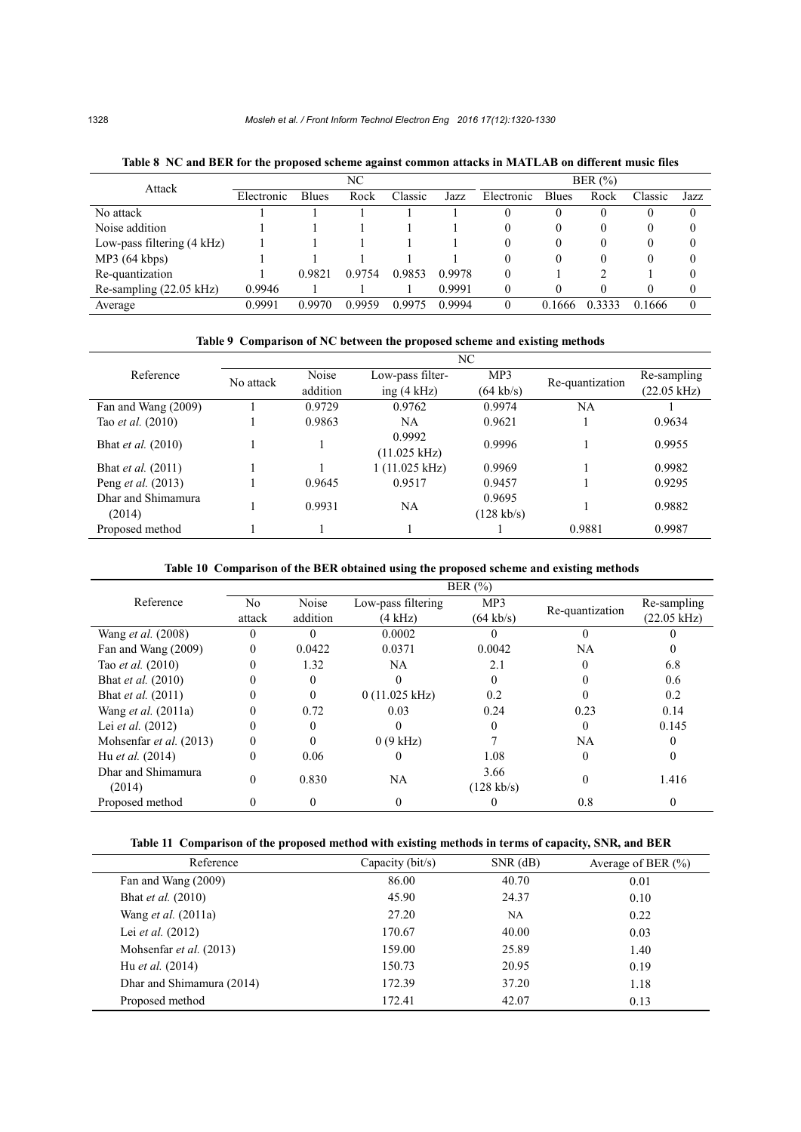| Attack                     | NС         |              |        |         |        | BER $(%)$  |              |          |         |          |
|----------------------------|------------|--------------|--------|---------|--------|------------|--------------|----------|---------|----------|
|                            | Electronic | <b>Blues</b> | Rock   | Classic | Jazz   | Electronic | <b>Blues</b> | Rock     | Classic | Jazz     |
| No attack                  |            |              |        |         |        | 0          |              | $\theta$ |         |          |
| Noise addition             |            |              |        |         |        | $\theta$   | $^{()}$      | $\Omega$ | O       |          |
| Low-pass filtering (4 kHz) |            |              |        |         |        | $\theta$   | 0            | $\Omega$ | $_{0}$  |          |
| MP3(64 kbps)               |            |              |        |         |        | $\theta$   | 0            | $\theta$ | 0       |          |
| Re-quantization            |            | 0.9821       | 0.9754 | 0.9853  | 0.9978 | $\theta$   |              |          |         |          |
| Re-sampling (22.05 kHz)    | 0.9946     |              |        |         | 0.9991 | $\theta$   |              |          |         |          |
| Average                    | 0.9991     | 0.9970       | 0.9959 | 0.9975  | 0.9994 | $\theta$   | 0.1666       | 0.3333   | 0.1666  | $\Omega$ |

**Table 8 NC and BER for the proposed scheme against common attacks in MATLAB on different music files**

**Table 9 Comparison of NC between the proposed scheme and existing methods**

|                           | NC        |          |                         |                     |                 |                       |  |  |  |
|---------------------------|-----------|----------|-------------------------|---------------------|-----------------|-----------------------|--|--|--|
| Reference                 | No attack | Noise    | Low-pass filter-        | MP3                 | Re-quantization | Re-sampling           |  |  |  |
|                           |           | addition | ing $(4 \text{ kHz})$   | $(64 \text{ kb/s})$ |                 | $(22.05 \text{ kHz})$ |  |  |  |
| Fan and Wang (2009)       |           | 0.9729   | 0.9762                  | 0.9974              | NA              |                       |  |  |  |
| Tao <i>et al.</i> (2010)  |           | 0.9863   | NA.                     | 0.9621              |                 | 0.9634                |  |  |  |
| Bhat <i>et al.</i> (2010) |           |          | 0.9992                  | 0.9996              |                 | 0.9955                |  |  |  |
|                           |           |          | $(11.025 \text{ kHz})$  |                     |                 |                       |  |  |  |
| Bhat <i>et al.</i> (2011) |           |          | $1(11.025 \text{ kHz})$ | 0.9969              |                 | 0.9982                |  |  |  |
| Peng <i>et al.</i> (2013) |           | 0.9645   | 0.9517                  | 0.9457              |                 | 0.9295                |  |  |  |
| Dhar and Shimamura        |           | 0.9931   | NA.                     | 0.9695              |                 | 0.9882                |  |  |  |
| (2014)                    |           |          | $(128 \text{ kb/s})$    |                     |                 |                       |  |  |  |
| Proposed method           |           |          |                         |                     | 0.9881          | 0.9987                |  |  |  |

# **Table 10 Comparison of the BER obtained using the proposed scheme and existing methods**

|                              | BER $(\% )$ |          |                         |                      |                 |                       |  |  |  |
|------------------------------|-------------|----------|-------------------------|----------------------|-----------------|-----------------------|--|--|--|
| Reference                    | No          | Noise    | Low-pass filtering      | MP3                  | Re-quantization | Re-sampling           |  |  |  |
|                              | attack      | addition | (4 kHz)                 | $(64 \text{ kb/s})$  |                 | $(22.05 \text{ kHz})$ |  |  |  |
| Wang <i>et al.</i> (2008)    | 0           | 0        | 0.0002                  |                      |                 |                       |  |  |  |
| Fan and Wang (2009)          | $\Omega$    | 0.0422   | 0.0371                  | 0.0042               | NA              |                       |  |  |  |
| Tao <i>et al.</i> (2010)     |             | 1.32     | NA                      | 2.1                  |                 | 6.8                   |  |  |  |
| Bhat et al. (2010)           |             |          |                         | $\theta$             |                 | 0.6                   |  |  |  |
| Bhat et al. (2011)           |             | 0        | $0(11.025 \text{ kHz})$ | 0.2                  |                 | 0.2                   |  |  |  |
| Wang <i>et al.</i> $(2011a)$ |             | 0.72     | 0.03                    | 0.24                 | 0.23            | 0.14                  |  |  |  |
| Lei et al. (2012)            | 0           | $\Omega$ |                         | $\theta$             | $\theta$        | 0.145                 |  |  |  |
| Mohsenfar et al. (2013)      |             | 0        | 0(9 kHz)                |                      | NA              |                       |  |  |  |
| Hu et al. (2014)             | 0           | 0.06     | $_{0}$                  | 1.08                 | $\Omega$        |                       |  |  |  |
| Dhar and Shimamura           | $\theta$    |          |                         | 3.66                 | $\theta$        | 1.416                 |  |  |  |
| (2014)                       |             | 0.830    | NA                      | $(128 \text{ kb/s})$ |                 |                       |  |  |  |
| Proposed method              | $\Omega$    | $\theta$ |                         |                      | 0.8             | 0                     |  |  |  |

|  |  |  |  | Table 11 Comparison of the proposed method with existing methods in terms of capacity, SNR, and BER |  |  |
|--|--|--|--|-----------------------------------------------------------------------------------------------------|--|--|
|--|--|--|--|-----------------------------------------------------------------------------------------------------|--|--|

| Reference                    | Capacity (bit/s) | $SNR$ (dB) | Average of BER $(\% )$ |
|------------------------------|------------------|------------|------------------------|
| Fan and Wang $(2009)$        | 86.00            | 40.70      | 0.01                   |
| Bhat <i>et al.</i> (2010)    | 45.90            | 24.37      | 0.10                   |
| Wang <i>et al.</i> $(2011a)$ | 27.20            | NA.        | 0.22                   |
| Lei <i>et al.</i> (2012)     | 170.67           | 40.00      | 0.03                   |
| Mohsenfar et al. (2013)      | 159.00           | 25.89      | 1.40                   |
| Hu <i>et al.</i> (2014)      | 150.73           | 20.95      | 0.19                   |
| Dhar and Shimamura (2014)    | 172.39           | 37.20      | 1.18                   |
| Proposed method              | 172.41           | 42.07      | 0.13                   |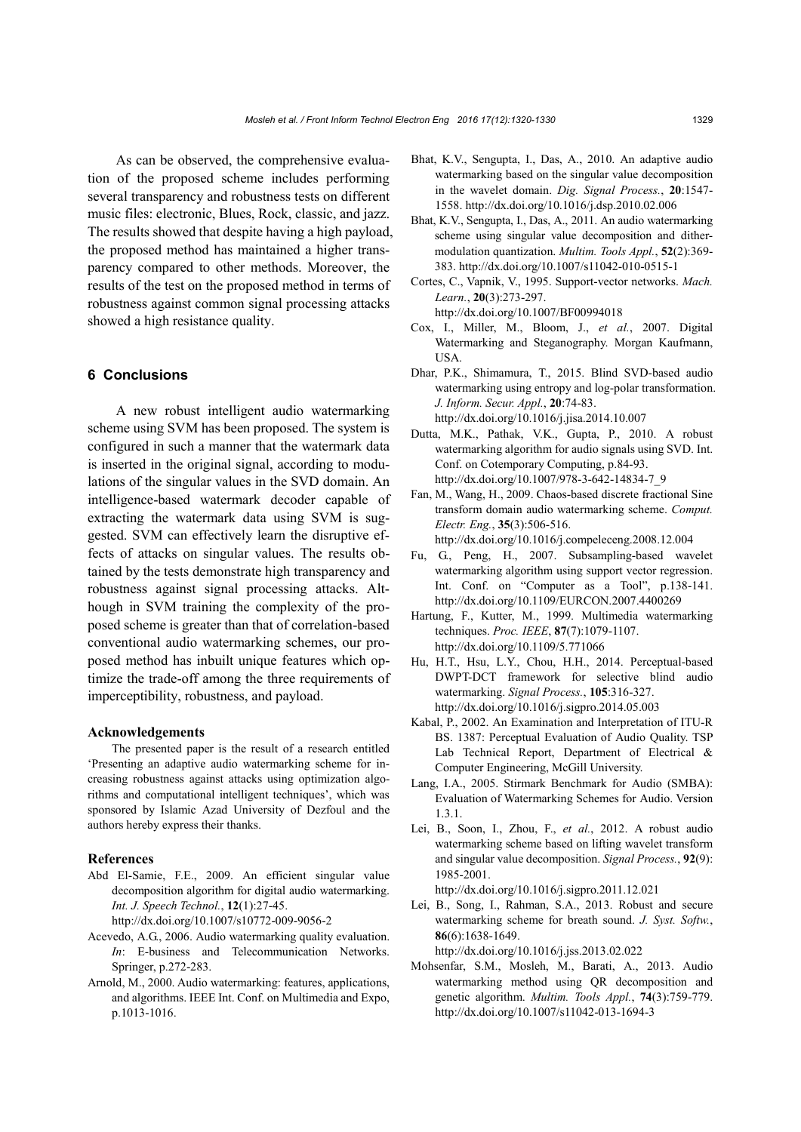As can be observed, the comprehensive evaluation of the proposed scheme includes performing several transparency and robustness tests on different music files: electronic, Blues, Rock, classic, and jazz. The results showed that despite having a high payload, the proposed method has maintained a higher transparency compared to other methods. Moreover, the results of the test on the proposed method in terms of robustness against common signal processing attacks showed a high resistance quality.

# **6 Conclusions**

A new robust intelligent audio watermarking scheme using SVM has been proposed. The system is configured in such a manner that the watermark data is inserted in the original signal, according to modulations of the singular values in the SVD domain. An intelligence-based watermark decoder capable of extracting the watermark data using SVM is suggested. SVM can effectively learn the disruptive effects of attacks on singular values. The results obtained by the tests demonstrate high transparency and robustness against signal processing attacks. Although in SVM training the complexity of the proposed scheme is greater than that of correlation-based conventional audio watermarking schemes, our proposed method has inbuilt unique features which optimize the trade-off among the three requirements of imperceptibility, robustness, and payload.

## **Acknowledgements**

The presented paper is the result of a research entitled 'Presenting an adaptive audio watermarking scheme for increasing robustness against attacks using optimization algorithms and computational intelligent techniques', which was sponsored by Islamic Azad University of Dezfoul and the authors hereby express their thanks.

#### **References**

Abd El-Samie, F.E., 2009. An efficient singular value decomposition algorithm for digital audio watermarking. *Int. J. Speech Technol.*, **12**(1):27-45.

http://dx.doi.org/10.1007/s10772-009-9056-2

- Acevedo, A.G., 2006. Audio watermarking quality evaluation. *In*: E-business and Telecommunication Networks. Springer, p.272-283.
- Arnold, M., 2000. Audio watermarking: features, applications, and algorithms. IEEE Int. Conf. on Multimedia and Expo, p.1013-1016.
- Bhat, K.V., Sengupta, I., Das, A., 2010. An adaptive audio watermarking based on the singular value decomposition in the wavelet domain. *Dig. Signal Process.*, **20**:1547- 1558. http://dx.doi.org/10.1016/j.dsp.2010.02.006
- Bhat, K.V., Sengupta, I., Das, A., 2011. An audio watermarking scheme using singular value decomposition and dithermodulation quantization. *Multim. Tools Appl.*, **52**(2):369- 383. http://dx.doi.org/10.1007/s11042-010-0515-1
- Cortes, C., Vapnik, V., 1995. Support-vector networks. *Mach. Learn.*, **20**(3):273-297. http://dx.doi.org/10.1007/BF00994018
- Cox, I., Miller, M., Bloom, J., *et al.*, 2007. Digital Watermarking and Steganography. Morgan Kaufmann, USA.
- Dhar, P.K., Shimamura, T., 2015. Blind SVD-based audio watermarking using entropy and log-polar transformation. *J. Inform. Secur. Appl.*, **20**:74-83. http://dx.doi.org/10.1016/j.jisa.2014.10.007
- Dutta, M.K., Pathak, V.K., Gupta, P., 2010. A robust watermarking algorithm for audio signals using SVD. Int. Conf. on Cotemporary Computing, p.84-93. http://dx.doi.org/10.1007/978-3-642-14834-7\_9
- Fan, M., Wang, H., 2009. Chaos-based discrete fractional Sine transform domain audio watermarking scheme. *Comput. Electr. Eng.*, **35**(3):506-516. http://dx.doi.org/10.1016/j.compeleceng.2008.12.004
- Fu, G., Peng, H., 2007. Subsampling-based wavelet watermarking algorithm using support vector regression. Int. Conf. on "Computer as a Tool", p.138-141. http://dx.doi.org/10.1109/EURCON.2007.4400269
- Hartung, F., Kutter, M., 1999. Multimedia watermarking techniques. *Proc. IEEE*, **87**(7):1079-1107. http://dx.doi.org/10.1109/5.771066
- Hu, H.T., Hsu, L.Y., Chou, H.H., 2014. Perceptual-based DWPT-DCT framework for selective blind audio watermarking. *Signal Process.*, **105**:316-327. http://dx.doi.org/10.1016/j.sigpro.2014.05.003
- Kabal, P., 2002. An Examination and Interpretation of ITU-R BS. 1387: Perceptual Evaluation of Audio Quality. TSP Lab Technical Report, Department of Electrical & Computer Engineering, McGill University.
- Lang, I.A., 2005. Stirmark Benchmark for Audio (SMBA): Evaluation of Watermarking Schemes for Audio. Version 1.3.1.
- Lei, B., Soon, I., Zhou, F., *et al.*, 2012. A robust audio watermarking scheme based on lifting wavelet transform and singular value decomposition. *Signal Process.*, **92**(9): 1985-2001.

http://dx.doi.org/10.1016/j.sigpro.2011.12.021

- Lei, B., Song, I., Rahman, S.A., 2013. Robust and secure watermarking scheme for breath sound. *J. Syst. Softw.*, **86**(6):1638-1649.
	- http://dx.doi.org/10.1016/j.jss.2013.02.022
- Mohsenfar, S.M., Mosleh, M., Barati, A., 2013. Audio watermarking method using QR decomposition and genetic algorithm. *Multim. Tools Appl.*, **74**(3):759-779. http://dx.doi.org/10.1007/s11042-013-1694-3